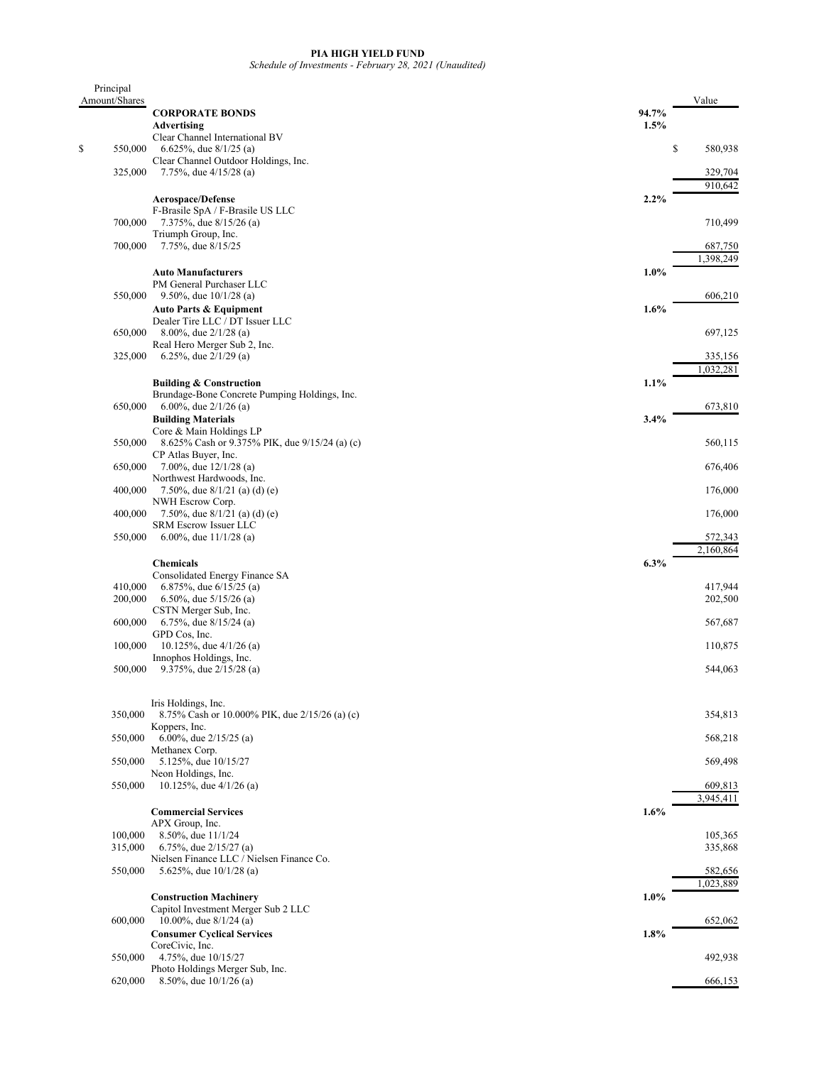## **PIA HIGH YIELD FUND**

*Schedule of Investments - February 28, 2021 (Unaudited)*

| Principal     |                                                                        |         |               |
|---------------|------------------------------------------------------------------------|---------|---------------|
| Amount/Shares | <b>CORPORATE BONDS</b>                                                 | 94.7%   | Value         |
|               | Advertising                                                            | 1.5%    |               |
|               | Clear Channel International BV                                         |         |               |
| \$<br>550,000 | 6.625%, due $8/1/25$ (a)                                               |         | \$<br>580,938 |
|               | Clear Channel Outdoor Holdings, Inc.                                   |         |               |
| 325,000       | 7.75%, due $4/15/28$ (a)                                               |         | 329,704       |
|               |                                                                        | 2.2%    | 910,642       |
|               | <b>Aerospace/Defense</b><br>F-Brasile SpA / F-Brasile US LLC           |         |               |
| 700,000       | 7.375%, due 8/15/26 (a)                                                |         | 710,499       |
|               | Triumph Group, Inc.                                                    |         |               |
| 700,000       | 7.75%, due 8/15/25                                                     |         | 687,750       |
|               |                                                                        |         | 1,398,249     |
|               | <b>Auto Manufacturers</b><br>PM General Purchaser LLC                  | 1.0%    |               |
| 550,000       | 9.50%, due $10/1/28$ (a)                                               |         | 606,210       |
|               | <b>Auto Parts &amp; Equipment</b>                                      | 1.6%    |               |
|               | Dealer Tire LLC / DT Issuer LLC                                        |         |               |
| 650,000       | 8.00%, due $2/1/28$ (a)                                                |         | 697,125       |
|               | Real Hero Merger Sub 2, Inc.                                           |         | 335,156       |
| 325,000       | 6.25%, due $2/1/29$ (a)                                                |         | 1,032,281     |
|               | <b>Building &amp; Construction</b>                                     | 1.1%    |               |
|               | Brundage-Bone Concrete Pumping Holdings, Inc.                          |         |               |
| 650,000       | 6.00%, due $2/1/26$ (a)                                                |         | 673,810       |
|               | <b>Building Materials</b>                                              | 3.4%    |               |
|               | Core & Main Holdings LP                                                |         |               |
| 550,000       | 8.625% Cash or 9.375% PIK, due 9/15/24 (a) (c)<br>CP Atlas Buyer, Inc. |         | 560,115       |
| 650,000       | 7.00%, due $12/1/28$ (a)                                               |         | 676,406       |
|               | Northwest Hardwoods, Inc.                                              |         |               |
| 400,000       | 7.50%, due $8/1/21$ (a) (d) (e)                                        |         | 176,000       |
|               | NWH Escrow Corp.                                                       |         |               |
| 400,000       | 7.50%, due $8/1/21$ (a) (d) (e)<br>SRM Escrow Issuer LLC               |         | 176,000       |
| 550,000       | 6.00%, due $11/1/28$ (a)                                               |         | 572,343       |
|               |                                                                        |         | 2,160,864     |
|               | <b>Chemicals</b>                                                       | 6.3%    |               |
|               | Consolidated Energy Finance SA                                         |         |               |
| 410,000       | 6.875%, due $6/15/25$ (a)                                              |         | 417,944       |
| 200,000       | 6.50%, due $5/15/26$ (a)<br>CSTN Merger Sub, Inc.                      |         | 202,500       |
| 600,000       | 6.75%, due $8/15/24$ (a)                                               |         | 567,687       |
|               | GPD Cos, Inc.                                                          |         |               |
| 100,000       | 10.125%, due $4/1/26$ (a)                                              |         | 110,875       |
|               | Innophos Holdings, Inc.                                                |         |               |
| 500,000       | 9.375%, due $2/15/28$ (a)                                              |         | 544,063       |
|               |                                                                        |         |               |
|               | Iris Holdings, Inc.                                                    |         |               |
| 350,000       | 8.75% Cash or 10.000% PIK, due 2/15/26 (a) (c)                         |         | 354,813       |
| 550,000       | Koppers, Inc.<br>6.00%, due 2/15/25 (a)                                |         | 568,218       |
|               | Methanex Corp.                                                         |         |               |
| 550,000       | 5.125%, due 10/15/27                                                   |         | 569,498       |
|               | Neon Holdings, Inc.                                                    |         |               |
| 550,000       | 10.125%, due 4/1/26 (a)                                                |         | 609,813       |
|               |                                                                        |         | 3,945,411     |
|               | <b>Commercial Services</b><br>APX Group, Inc.                          | 1.6%    |               |
| 100,000       | 8.50%, due 11/1/24                                                     |         | 105,365       |
| 315,000       | 6.75%, due $2/15/27$ (a)                                               |         | 335,868       |
|               | Nielsen Finance LLC / Nielsen Finance Co.                              |         |               |
| 550,000       | 5.625%, due $10/1/28$ (a)                                              |         | 582,656       |
|               |                                                                        |         | 1,023,889     |
|               | <b>Construction Machinery</b><br>Capitol Investment Merger Sub 2 LLC   | $1.0\%$ |               |
| 600,000       | 10.00%, due $8/1/24$ (a)                                               |         | 652,062       |
|               | <b>Consumer Cyclical Services</b>                                      | 1.8%    |               |
|               | CoreCivic, Inc.                                                        |         |               |
| 550,000       | 4.75%, due 10/15/27                                                    |         | 492,938       |
| 620,000       | Photo Holdings Merger Sub, Inc.<br>8.50%, due 10/1/26 (a)              |         | 666,153       |
|               |                                                                        |         |               |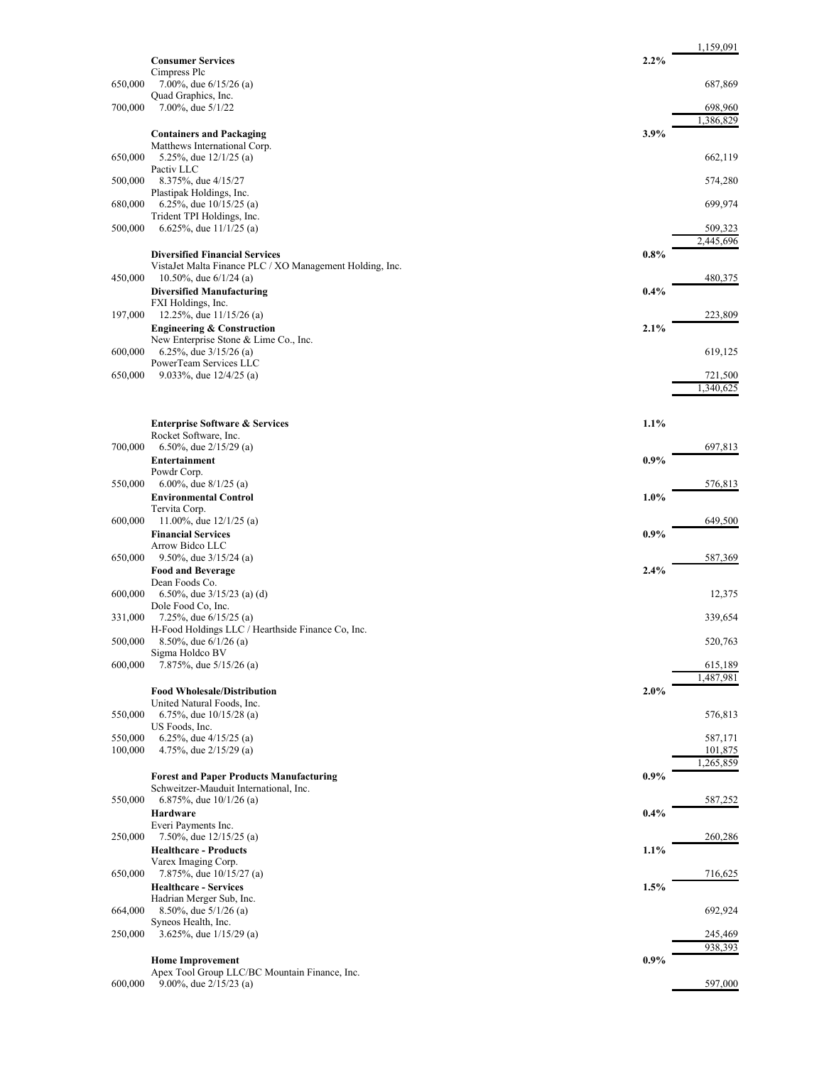|                    |                                                                                          |         | 1,159,091            |
|--------------------|------------------------------------------------------------------------------------------|---------|----------------------|
|                    | <b>Consumer Services</b><br>Cimpress Plc                                                 | 2.2%    |                      |
| 650,000            | 7.00%, due $6/15/26$ (a)<br>Quad Graphics, Inc.                                          |         | 687,869              |
| 700,000            | 7.00%, due 5/1/22                                                                        |         | 698,960              |
|                    |                                                                                          |         | 1,386,829            |
|                    | <b>Containers and Packaging</b><br>Matthews International Corp.                          | 3.9%    |                      |
| 650,000            | 5.25%, due $12/1/25$ (a)<br>Pactiv LLC                                                   |         | 662,119              |
| 500,000            | 8.375%, due 4/15/27                                                                      |         | 574,280              |
| 680,000            | Plastipak Holdings, Inc.<br>6.25%, due $10/15/25$ (a)                                    |         | 699,974              |
|                    | Trident TPI Holdings, Inc.                                                               |         |                      |
| 500,000            | 6.625%, due $11/1/25$ (a)                                                                |         | 509,323<br>2,445,696 |
|                    | <b>Diversified Financial Services</b>                                                    | $0.8\%$ |                      |
| 450,000            | VistaJet Malta Finance PLC / XO Management Holding, Inc.<br>10.50%, due $6/1/24$ (a)     |         | 480,375              |
|                    | <b>Diversified Manufacturing</b>                                                         | $0.4\%$ |                      |
| 197,000            | FXI Holdings, Inc.<br>12.25%, due $11/15/26$ (a)                                         |         | 223,809              |
|                    | <b>Engineering &amp; Construction</b>                                                    | 2.1%    |                      |
| 600,000            | New Enterprise Stone & Lime Co., Inc.<br>6.25%, due $3/15/26$ (a)                        |         | 619,125              |
|                    | PowerTeam Services LLC                                                                   |         |                      |
| 650,000            | 9.033%, due $12/4/25$ (a)                                                                |         | 721,500<br>1.340.625 |
|                    |                                                                                          |         |                      |
|                    | <b>Enterprise Software &amp; Services</b>                                                | 1.1%    |                      |
| 700,000            | Rocket Software, Inc.<br>6.50%, due $2/15/29$ (a)                                        |         | 697,813              |
|                    | Entertainment                                                                            | $0.9\%$ |                      |
| 550,000            | Powdr Corp.<br>6.00%, due $8/1/25$ (a)                                                   |         | 576,813              |
|                    | <b>Environmental Control</b>                                                             | $1.0\%$ |                      |
| 600,000            | Tervita Corp.<br>11.00%, due $12/1/25$ (a)                                               |         | 649,500              |
|                    | <b>Financial Services</b>                                                                | $0.9\%$ |                      |
| 650,000            | Arrow Bidco LLC<br>9.50%, due $3/15/24$ (a)                                              |         | 587,369              |
|                    | <b>Food and Beverage</b>                                                                 | 2.4%    |                      |
| 600,000            | Dean Foods Co.<br>6.50%, due $3/15/23$ (a) (d)                                           |         | 12,375               |
| 331,000            | Dole Food Co, Inc.<br>7.25%, due $6/15/25$ (a)                                           |         | 339,654              |
|                    | H-Food Holdings LLC / Hearthside Finance Co, Inc.                                        |         |                      |
| 500,000            | 8.50%, due $6/1/26$ (a)<br>Sigma Holdco BV                                               |         | 520,763              |
| 600,000            | 7.875%, due 5/15/26 (a)                                                                  |         | 615,189              |
|                    | <b>Food Wholesale/Distribution</b>                                                       | 2.0%    | 1,487,981            |
| 550,000            | United Natural Foods, Inc.<br>6.75%, due $10/15/28$ (a)                                  |         | 576,813              |
|                    | US Foods, Inc.                                                                           |         |                      |
| 550,000<br>100,000 | 6.25%, due 4/15/25 (a)<br>4.75%, due $2/15/29$ (a)                                       |         | 587,171<br>101,875   |
|                    |                                                                                          |         | 1,265,859            |
|                    | <b>Forest and Paper Products Manufacturing</b><br>Schweitzer-Mauduit International, Inc. | 0.9%    |                      |
| 550,000            | 6.875%, due $10/1/26$ (a)                                                                |         | 587,252              |
|                    | Hardware<br>Everi Payments Inc.                                                          | $0.4\%$ |                      |
| 250,000            | 7.50%, due $12/15/25$ (a)                                                                |         | 260,286              |
|                    | <b>Healthcare - Products</b><br>Varex Imaging Corp.                                      | 1.1%    |                      |
| 650,000            | 7.875%, due 10/15/27 (a)                                                                 |         | 716,625              |
|                    | <b>Healthcare - Services</b><br>Hadrian Merger Sub, Inc.                                 | 1.5%    |                      |
| 664,000            | 8.50%, due $5/1/26$ (a)<br>Syneos Health, Inc.                                           |         | 692,924              |
| 250,000            | 3.625%, due $1/15/29$ (a)                                                                |         | 245,469              |
|                    | <b>Home Improvement</b>                                                                  | $0.9\%$ | 938,393              |
|                    | Apex Tool Group LLC/BC Mountain Finance, Inc.                                            |         |                      |
| 600,000            | 9.00%, due $2/15/23$ (a)                                                                 |         | 597,000              |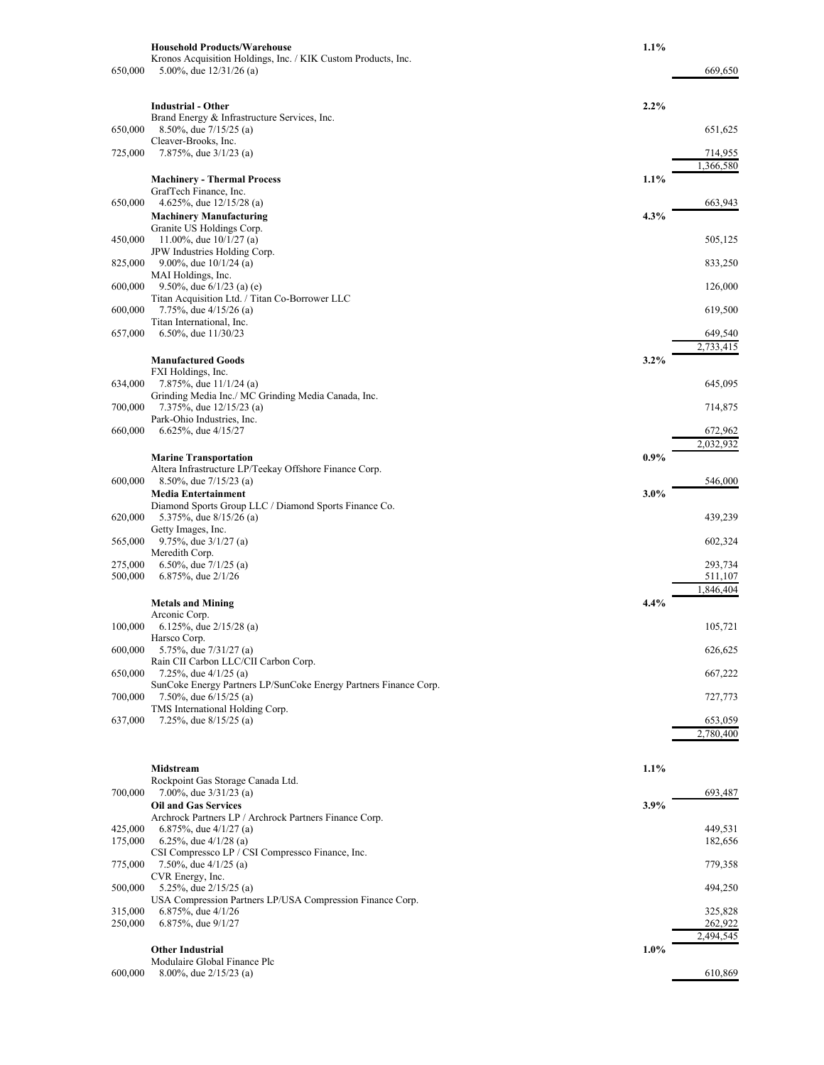|         | <b>Household Products/Warehouse</b>                                                          | $1.1\%$ |                      |
|---------|----------------------------------------------------------------------------------------------|---------|----------------------|
| 650,000 | Kronos Acquisition Holdings, Inc. / KIK Custom Products, Inc.<br>5.00%, due 12/31/26 (a)     |         | 669,650              |
|         |                                                                                              |         |                      |
|         | <b>Industrial - Other</b>                                                                    | 2.2%    |                      |
| 650,000 | Brand Energy & Infrastructure Services, Inc.<br>8.50%, due $7/15/25$ (a)                     |         | 651,625              |
|         | Cleaver-Brooks, Inc.                                                                         |         |                      |
| 725,000 | 7.875%, due $3/1/23$ (a)                                                                     |         | 714,955<br>1,366,580 |
|         | <b>Machinery - Thermal Process</b>                                                           | $1.1\%$ |                      |
| 650,000 | GrafTech Finance, Inc.<br>4.625%, due $12/15/28$ (a)                                         |         | 663,943              |
|         | <b>Machinery Manufacturing</b>                                                               | $4.3\%$ |                      |
| 450,000 | Granite US Holdings Corp.<br>11.00%, due $10/1/27$ (a)                                       |         | 505,125              |
|         | JPW Industries Holding Corp.                                                                 |         |                      |
| 825,000 | 9.00%, due $10/1/24$ (a)<br>MAI Holdings, Inc.                                               |         | 833,250              |
| 600,000 | 9.50%, due $6/1/23$ (a) (e)<br>Titan Acquisition Ltd. / Titan Co-Borrower LLC                |         | 126,000              |
| 600,000 | 7.75%, due $4/15/26$ (a)                                                                     |         | 619,500              |
| 657,000 | Titan International, Inc.<br>6.50%, due $11/30/23$                                           |         | 649,540              |
|         |                                                                                              |         | 2,733,415            |
|         | <b>Manufactured Goods</b><br>FXI Holdings, Inc.                                              | $3.2\%$ |                      |
| 634,000 | 7.875%, due 11/1/24 (a)                                                                      |         | 645,095              |
| 700,000 | Grinding Media Inc./ MC Grinding Media Canada, Inc.<br>7.375%, due 12/15/23 (a)              |         | 714,875              |
| 660,000 | Park-Ohio Industries, Inc.<br>6.625%, due $4/15/27$                                          |         | 672,962              |
|         |                                                                                              |         | 2,032,932            |
|         | <b>Marine Transportation</b><br>Altera Infrastructure LP/Teekay Offshore Finance Corp.       | $0.9\%$ |                      |
| 600,000 | 8.50%, due 7/15/23 (a)                                                                       |         | 546,000              |
|         | <b>Media Entertainment</b><br>Diamond Sports Group LLC / Diamond Sports Finance Co.          | $3.0\%$ |                      |
| 620,000 | 5.375%, due 8/15/26 (a)                                                                      |         | 439,239              |
| 565,000 | Getty Images, Inc.<br>9.75%, due $3/1/27$ (a)                                                |         | 602,324              |
| 275,000 | Meredith Corp.<br>6.50%, due $7/1/25$ (a)                                                    |         | 293,734              |
| 500,000 | 6.875%, due 2/1/26                                                                           |         | 511,107              |
|         | <b>Metals and Mining</b>                                                                     | 4.4%    | 1,846,404            |
|         | Arconic Corp.                                                                                |         |                      |
| 100,000 | 6.125%, due $2/15/28$ (a)<br>Harsco Corp.                                                    |         | 105,721              |
| 600,000 | 5.75%, due 7/31/27 (a)<br>Rain CII Carbon LLC/CII Carbon Corp.                               |         | 626,625              |
| 650,000 | 7.25%, due $4/1/25$ (a)                                                                      |         | 667,222              |
| 700,000 | SunCoke Energy Partners LP/SunCoke Energy Partners Finance Corp.<br>7.50%, due $6/15/25$ (a) |         | 727,773              |
| 637,000 | TMS International Holding Corp.<br>7.25%, due $8/15/25$ (a)                                  |         | 653,059              |
|         |                                                                                              |         | 2,780,400            |
|         |                                                                                              |         |                      |
|         | Midstream                                                                                    | 1.1%    |                      |
| 700,000 | Rockpoint Gas Storage Canada Ltd.<br>7.00%, due $3/31/23$ (a)                                |         | 693,487              |
|         | <b>Oil and Gas Services</b>                                                                  | 3.9%    |                      |
| 425,000 | Archrock Partners LP / Archrock Partners Finance Corp.<br>6.875%, due $4/1/27$ (a)           |         | 449,531              |
| 175,000 | 6.25%, due $4/1/28$ (a)<br>CSI Compressco LP / CSI Compressco Finance, Inc.                  |         | 182,656              |
| 775,000 | 7.50%, due $4/1/25$ (a)                                                                      |         | 779,358              |
| 500,000 | CVR Energy, Inc.<br>5.25%, due $2/15/25$ (a)                                                 |         | 494,250              |
| 315,000 | USA Compression Partners LP/USA Compression Finance Corp.                                    |         |                      |
| 250,000 | 6.875%, due $4/1/26$<br>6.875%, due $9/1/27$                                                 |         | 325,828<br>262,922   |
|         | <b>Other Industrial</b>                                                                      | $1.0\%$ | 2,494,545            |
|         | Modulaire Global Finance Plc                                                                 |         |                      |
| 600,000 | 8.00%, due $2/15/23$ (a)                                                                     |         | 610,869              |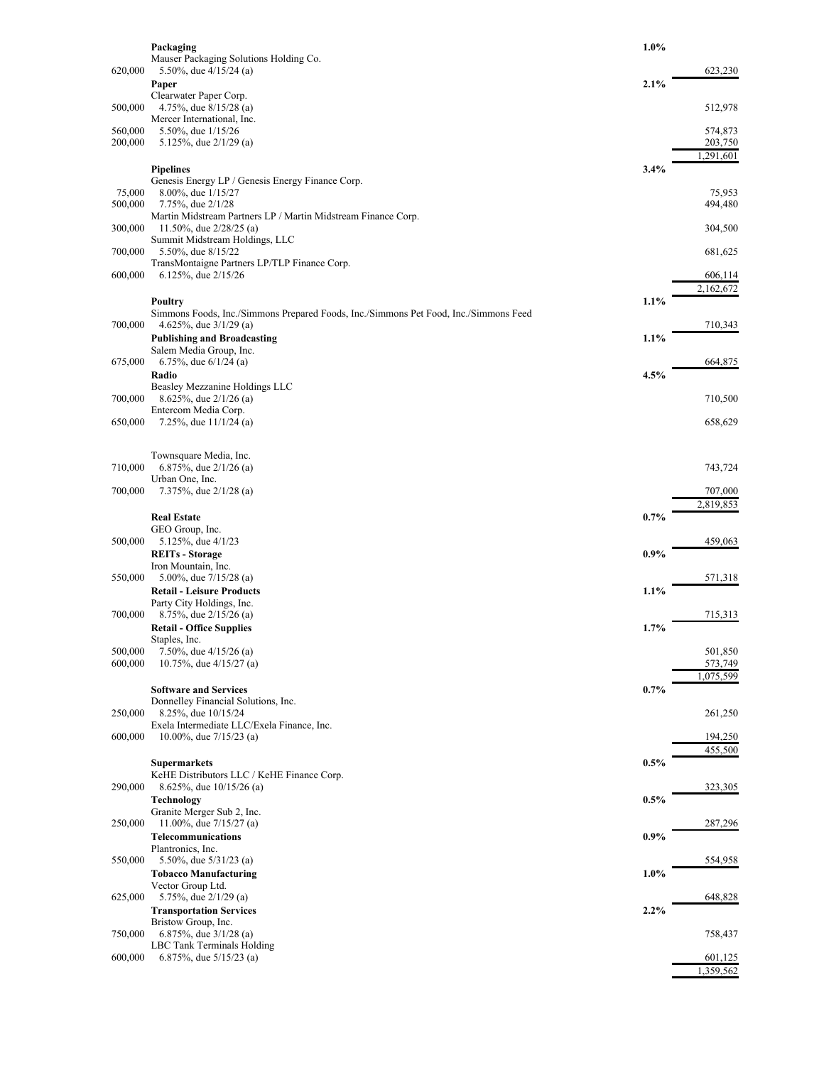|         | Packaging                                                                                  | $1.0\%$ |                      |
|---------|--------------------------------------------------------------------------------------------|---------|----------------------|
|         | Mauser Packaging Solutions Holding Co.                                                     |         |                      |
| 620,000 | 5.50%, due $4/15/24$ (a)                                                                   | 2.1%    | 623,230              |
|         | Paper<br>Clearwater Paper Corp.                                                            |         |                      |
| 500,000 | 4.75%, due $8/15/28$ (a)                                                                   |         | 512,978              |
|         | Mercer International, Inc.                                                                 |         |                      |
| 560,000 | 5.50%, due 1/15/26                                                                         |         | 574,873              |
| 200,000 | 5.125%, due $2/1/29$ (a)                                                                   |         | 203,750<br>1,291,601 |
|         | <b>Pipelines</b>                                                                           | 3.4%    |                      |
|         | Genesis Energy LP / Genesis Energy Finance Corp.                                           |         |                      |
| 75,000  | 8.00%, due 1/15/27                                                                         |         | 75,953               |
| 500,000 | 7.75%, due 2/1/28                                                                          |         | 494,480              |
| 300,000 | Martin Midstream Partners LP / Martin Midstream Finance Corp.<br>11.50%, due $2/28/25$ (a) |         | 304,500              |
|         | Summit Midstream Holdings, LLC                                                             |         |                      |
| 700,000 | 5.50%, due 8/15/22                                                                         |         | 681,625              |
|         | TransMontaigne Partners LP/TLP Finance Corp.                                               |         |                      |
| 600,000 | 6.125%, due $2/15/26$                                                                      |         | 606,114<br>2,162,672 |
|         | <b>Poultry</b>                                                                             | 1.1%    |                      |
|         | Simmons Foods, Inc./Simmons Prepared Foods, Inc./Simmons Pet Food, Inc./Simmons Feed       |         |                      |
| 700,000 | 4.625%, due $3/1/29$ (a)                                                                   |         | 710,343              |
|         | <b>Publishing and Broadcasting</b>                                                         | 1.1%    |                      |
| 675,000 | Salem Media Group, Inc.                                                                    |         |                      |
|         | 6.75%, due $6/1/24$ (a)<br>Radio                                                           | $4.5\%$ | 664,875              |
|         | Beasley Mezzanine Holdings LLC                                                             |         |                      |
| 700,000 | 8.625%, due $2/1/26$ (a)                                                                   |         | 710,500              |
|         | Entercom Media Corp.                                                                       |         |                      |
| 650,000 | 7.25%, due $11/1/24$ (a)                                                                   |         | 658,629              |
|         |                                                                                            |         |                      |
|         | Townsquare Media, Inc.                                                                     |         |                      |
| 710,000 | 6.875%, due $2/1/26$ (a)<br>Urban One, Inc.                                                |         | 743,724              |
| 700,000 | 7.375%, due $2/1/28$ (a)                                                                   |         | 707,000              |
|         |                                                                                            |         | 2,819,853            |
|         | <b>Real Estate</b>                                                                         | $0.7\%$ |                      |
|         | GEO Group, Inc.                                                                            |         |                      |
| 500,000 | 5.125%, due 4/1/23                                                                         |         | 459,063              |
|         | <b>REITs</b> - Storage<br>Iron Mountain, Inc.                                              | 0.9%    |                      |
| 550,000 | 5.00%, due $7/15/28$ (a)                                                                   |         | 571,318              |
|         | <b>Retail - Leisure Products</b>                                                           | $1.1\%$ |                      |
|         | Party City Holdings, Inc.                                                                  |         |                      |
| 700,000 | 8.75%, due $2/15/26$ (a)                                                                   |         | 715,313              |
|         | <b>Retail - Office Supplies</b><br>Staples, Inc.                                           | 1.7%    |                      |
| 500,000 | 7.50%, due $4/15/26$ (a)                                                                   |         | 501,850              |
| 600,000 | 10.75%, due $4/15/27$ (a)                                                                  |         | 573,749              |
|         |                                                                                            |         | 1,075,599            |
|         | <b>Software and Services</b>                                                               | 0.7%    |                      |
| 250,000 | Donnelley Financial Solutions, Inc.<br>8.25%, due 10/15/24                                 |         | 261,250              |
|         | Exela Intermediate LLC/Exela Finance, Inc.                                                 |         |                      |
| 600,000 | 10.00%, due $7/15/23$ (a)                                                                  |         | 194,250              |
|         |                                                                                            |         | 455,500              |
|         | <b>Supermarkets</b>                                                                        | 0.5%    |                      |
| 290,000 | KeHE Distributors LLC / KeHE Finance Corp.<br>8.625%, due 10/15/26 (a)                     |         | 323,305              |
|         | Technology                                                                                 | $0.5\%$ |                      |
|         | Granite Merger Sub 2, Inc.                                                                 |         |                      |
| 250,000 | 11.00%, due $7/15/27$ (a)                                                                  |         | 287,296              |
|         | Telecommunications                                                                         | $0.9\%$ |                      |
| 550,000 | Plantronics, Inc.<br>5.50%, due $5/31/23$ (a)                                              |         | 554,958              |
|         | <b>Tobacco Manufacturing</b>                                                               | $1.0\%$ |                      |
|         | Vector Group Ltd.                                                                          |         |                      |
| 625,000 | 5.75%, due $2/1/29$ (a)                                                                    |         | 648,828              |
|         | <b>Transportation Services</b>                                                             | 2.2%    |                      |
| 750,000 | Bristow Group, Inc.<br>6.875%, due $3/1/28$ (a)                                            |         | 758,437              |
|         | LBC Tank Terminals Holding                                                                 |         |                      |
| 600,000 | 6.875%, due $5/15/23$ (a)                                                                  |         | 601,125              |
|         |                                                                                            |         | 1,359,562            |